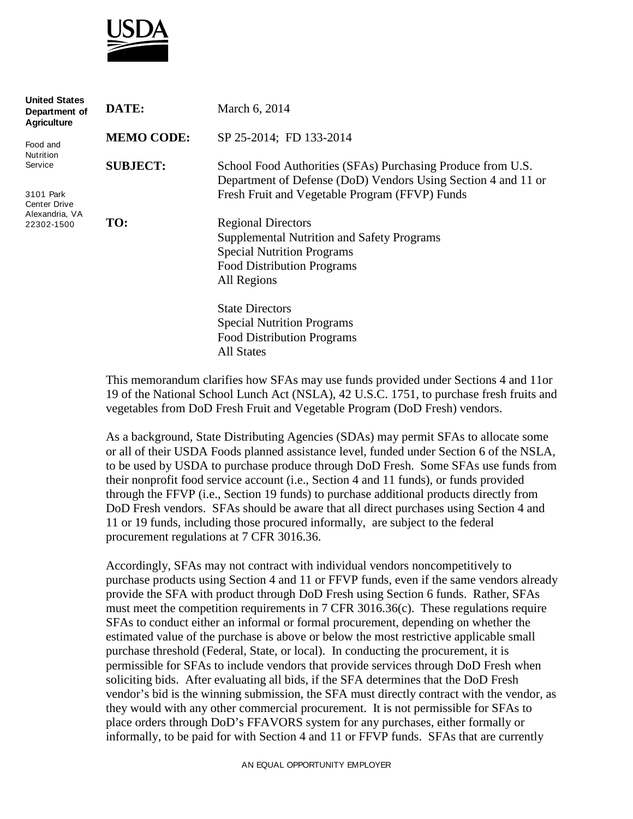

| <b>United States</b><br>Department of<br><b>Agriculture</b> | DATE:             | March 6, 2014                                                                                                                |
|-------------------------------------------------------------|-------------------|------------------------------------------------------------------------------------------------------------------------------|
| Food and<br>Nutrition                                       | <b>MEMO CODE:</b> | SP 25-2014; FD 133-2014                                                                                                      |
| Service                                                     | <b>SUBJECT:</b>   | School Food Authorities (SFAs) Purchasing Produce from U.S.<br>Department of Defense (DoD) Vendors Using Section 4 and 11 or |
| 3101 Park<br><b>Center Drive</b><br>Alexandria, VA          |                   | Fresh Fruit and Vegetable Program (FFVP) Funds                                                                               |
| 22302-1500                                                  | TO:               | <b>Regional Directors</b>                                                                                                    |
|                                                             |                   | <b>Supplemental Nutrition and Safety Programs</b>                                                                            |
|                                                             |                   | <b>Special Nutrition Programs</b>                                                                                            |
|                                                             |                   | <b>Food Distribution Programs</b>                                                                                            |
|                                                             |                   | All Regions                                                                                                                  |
|                                                             |                   | <b>State Directors</b>                                                                                                       |
|                                                             |                   | <b>Special Nutrition Programs</b>                                                                                            |
|                                                             |                   | <b>Food Distribution Programs</b>                                                                                            |
|                                                             |                   | <b>All States</b>                                                                                                            |

This memorandum clarifies how SFAs may use funds provided under Sections 4 and 11or 19 of the National School Lunch Act (NSLA), 42 U.S.C. 1751, to purchase fresh fruits and vegetables from DoD Fresh Fruit and Vegetable Program (DoD Fresh) vendors.

As a background, State Distributing Agencies (SDAs) may permit SFAs to allocate some or all of their USDA Foods planned assistance level, funded under Section 6 of the NSLA, to be used by USDA to purchase produce through DoD Fresh. Some SFAs use funds from their nonprofit food service account (i.e., Section 4 and 11 funds), or funds provided through the FFVP (i.e., Section 19 funds) to purchase additional products directly from DoD Fresh vendors. SFAs should be aware that all direct purchases using Section 4 and 11 or 19 funds, including those procured informally, are subject to the federal procurement regulations at 7 CFR 3016.36.

Accordingly, SFAs may not contract with individual vendors noncompetitively to purchase products using Section 4 and 11 or FFVP funds, even if the same vendors already provide the SFA with product through DoD Fresh using Section 6 funds. Rather, SFAs must meet the competition requirements in 7 CFR 3016.36(c). These regulations require SFAs to conduct either an informal or formal procurement, depending on whether the estimated value of the purchase is above or below the most restrictive applicable small purchase threshold (Federal, State, or local). In conducting the procurement, it is permissible for SFAs to include vendors that provide services through DoD Fresh when soliciting bids. After evaluating all bids, if the SFA determines that the DoD Fresh vendor's bid is the winning submission, the SFA must directly contract with the vendor, as they would with any other commercial procurement. It is not permissible for SFAs to place orders through DoD's FFAVORS system for any purchases, either formally or informally, to be paid for with Section 4 and 11 or FFVP funds. SFAs that are currently